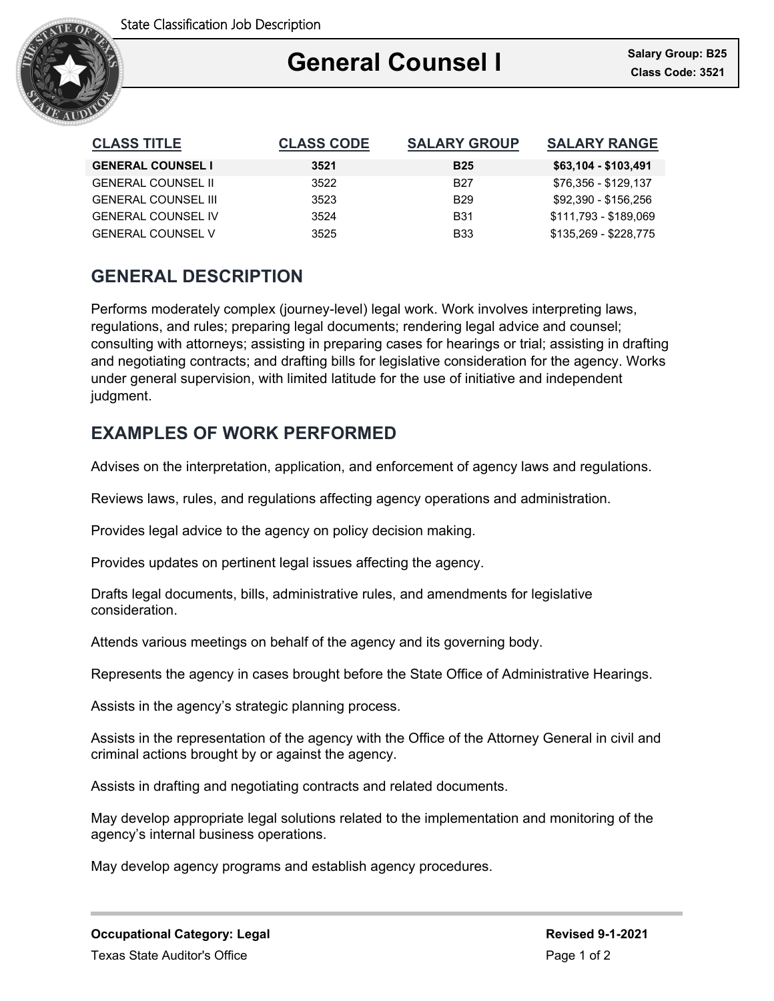

## Ξ General Counsel I<br>Class Code: 3521

| <b>CLASS TITLE</b>         | <b>CLASS CODE</b> | <b>SALARY GROUP</b> | <b>SALARY RANGE</b>   |
|----------------------------|-------------------|---------------------|-----------------------|
| <b>GENERAL COUNSEL I</b>   | 3521              | <b>B25</b>          | \$63,104 - \$103,491  |
| <b>GENERAL COUNSEL II</b>  | 3522              | <b>B27</b>          | \$76,356 - \$129,137  |
| <b>GENERAL COUNSEL III</b> | 3523              | <b>B29</b>          | \$92.390 - \$156.256  |
| <b>GENERAL COUNSEL IV</b>  | 3524              | <b>B31</b>          | \$111,793 - \$189,069 |
| <b>GENERAL COUNSEL V</b>   | 3525              | <b>B33</b>          | \$135,269 - \$228,775 |

# **GENERAL DESCRIPTION**

Performs moderately complex (journey-level) legal work. Work involves interpreting laws, regulations, and rules; preparing legal documents; rendering legal advice and counsel; consulting with attorneys; assisting in preparing cases for hearings or trial; assisting in drafting and negotiating contracts; and drafting bills for legislative consideration for the agency. Works under general supervision, with limited latitude for the use of initiative and independent judgment.

# **EXAMPLES OF WORK PERFORMED**

Advises on the interpretation, application, and enforcement of agency laws and regulations.

Reviews laws, rules, and regulations affecting agency operations and administration.

Provides legal advice to the agency on policy decision making.

Provides updates on pertinent legal issues affecting the agency.

Drafts legal documents, bills, administrative rules, and amendments for legislative consideration.

Attends various meetings on behalf of the agency and its governing body.

Represents the agency in cases brought before the State Office of Administrative Hearings.

Assists in the agency's strategic planning process.

Assists in the representation of the agency with the Office of the Attorney General in civil and criminal actions brought by or against the agency.

Assists in drafting and negotiating contracts and related documents.

May develop appropriate legal solutions related to the implementation and monitoring of the agency's internal business operations.

May develop agency programs and establish agency procedures.